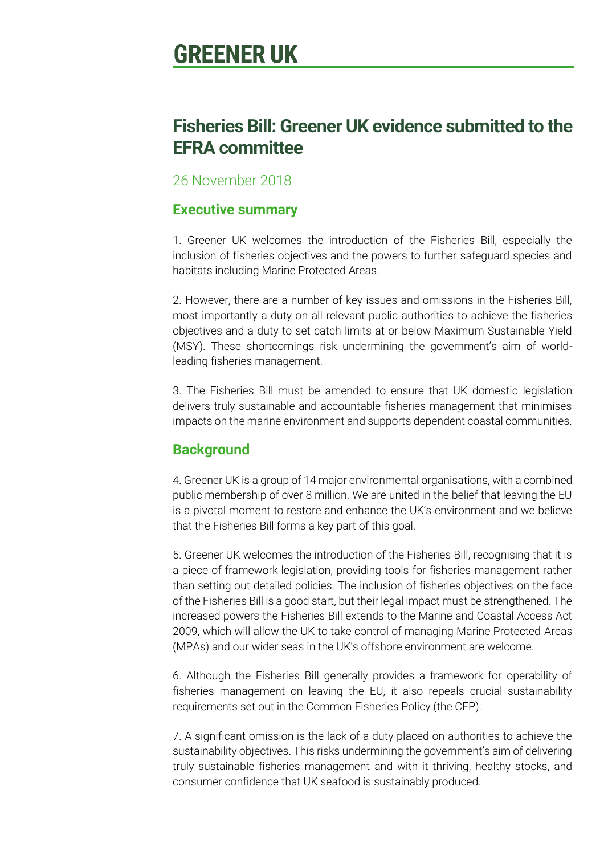# **GREENER UK**

# **Fisheries Bill: Greener UK evidence submitted to the EFRA committee**

## 26 November 2018

# **Executive summary**

1. Greener UK welcomes the introduction of the Fisheries Bill, especially the inclusion of fisheries objectives and the powers to further safeguard species and habitats including Marine Protected Areas.

2. However, there are a number of key issues and omissions in the Fisheries Bill, most importantly a duty on all relevant public authorities to achieve the fisheries objectives and a duty to set catch limits at or below Maximum Sustainable Yield (MSY). These shortcomings risk undermining the government's aim of worldleading fisheries management.

3. The Fisheries Bill must be amended to ensure that UK domestic legislation delivers truly sustainable and accountable fisheries management that minimises impacts on the marine environment and supports dependent coastal communities.

# **Background**

4. Greener UK is a group of 14 major environmental organisations, with a combined public membership of over 8 million. We are united in the belief that leaving the EU is a pivotal moment to restore and enhance the UK's environment and we believe that the Fisheries Bill forms a key part of this goal.

5. Greener UK welcomes the introduction of the Fisheries Bill, recognising that it is a piece of framework legislation, providing tools for fisheries management rather than setting out detailed policies. The inclusion of fisheries objectives on the face of the Fisheries Bill is a good start, but their legal impact must be strengthened. The increased powers the Fisheries Bill extends to the Marine and Coastal Access Act 2009, which will allow the UK to take control of managing Marine Protected Areas (MPAs) and our wider seas in the UK's offshore environment are welcome.

6. Although the Fisheries Bill generally provides a framework for operability of fisheries management on leaving the EU, it also repeals crucial sustainability requirements set out in the Common Fisheries Policy (the CFP).

7. A significant omission is the lack of a duty placed on authorities to achieve the sustainability objectives. This risks undermining the government's aim of delivering truly sustainable fisheries management and with it thriving, healthy stocks, and consumer confidence that UK seafood is sustainably produced.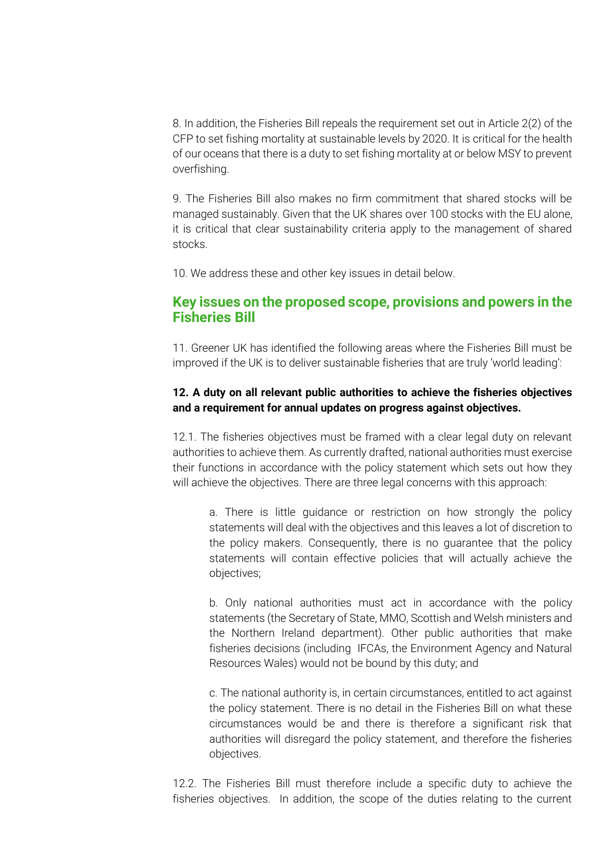8. In addition, the Fisheries Bill repeals the requirement set out in Article 2(2) of the CFP to set fishing mortality at sustainable levels by 2020. It is critical for the health of our oceans that there is a duty to set fishing mortality at or below MSY to prevent overfishing.

9. The Fisheries Bill also makes no firm commitment that shared stocks will be managed sustainably. Given that the UK shares over 100 stocks with the EU alone, it is critical that clear sustainability criteria apply to the management of shared stocks.

10. We address these and other key issues in detail below.

### **Key issues on the proposed scope, provisions and powers in the Fisheries Bill**

11. Greener UK has identified the following areas where the Fisheries Bill must be improved if the UK is to deliver sustainable fisheries that are truly 'world leading':

#### **12. A duty on all relevant public authorities to achieve the fisheries objectives and a requirement for annual updates on progress against objectives.**

12.1. The fisheries objectives must be framed with a clear legal duty on relevant authorities to achieve them. As currently drafted, national authorities must exercise their functions in accordance with the policy statement which sets out how they will achieve the objectives. There are three legal concerns with this approach:

a. There is little guidance or restriction on how strongly the policy statements will deal with the objectives and this leaves a lot of discretion to the policy makers. Consequently, there is no guarantee that the policy statements will contain effective policies that will actually achieve the objectives;

b. Only national authorities must act in accordance with the policy statements (the Secretary of State, MMO, Scottish and Welsh ministers and the Northern Ireland department). Other public authorities that make fisheries decisions (including IFCAs, the Environment Agency and Natural Resources Wales) would not be bound by this duty; and

c. The national authority is, in certain circumstances, entitled to act against the policy statement. There is no detail in the Fisheries Bill on what these circumstances would be and there is therefore a significant risk that authorities will disregard the policy statement, and therefore the fisheries objectives.

12.2. The Fisheries Bill must therefore include a specific duty to achieve the fisheries objectives. In addition, the scope of the duties relating to the current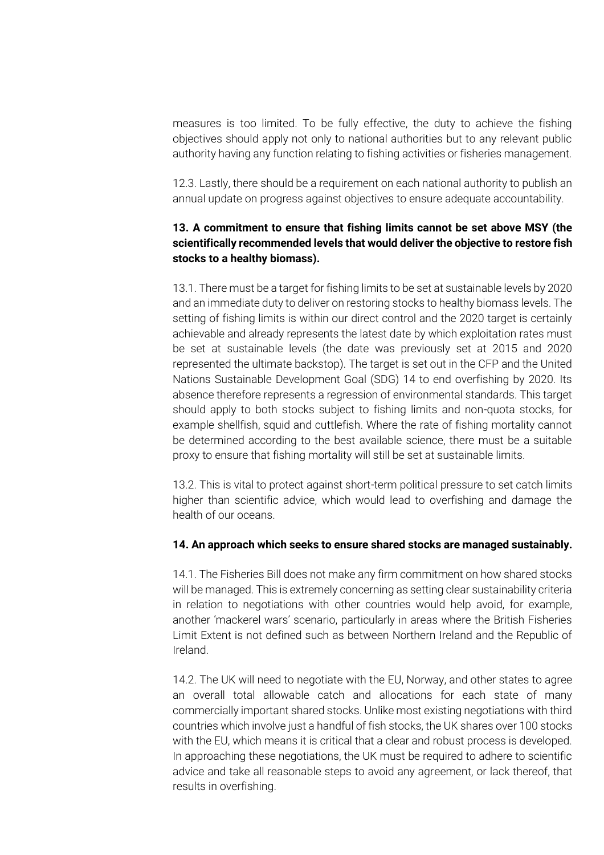measures is too limited. To be fully effective, the duty to achieve the fishing objectives should apply not only to national authorities but to any relevant public authority having any function relating to fishing activities or fisheries management.

12.3. Lastly, there should be a requirement on each national authority to publish an annual update on progress against objectives to ensure adequate accountability.

#### **13. A commitment to ensure that fishing limits cannot be set above MSY (the scientifically recommended levels that would deliver the objective to restore fish stocks to a healthy biomass).**

13.1. There must be a target for fishing limits to be set at sustainable levels by 2020 and an immediate duty to deliver on restoring stocks to healthy biomass levels. The setting of fishing limits is within our direct control and the 2020 target is certainly achievable and already represents the latest date by which exploitation rates must be set at sustainable levels (the date was previously set at 2015 and 2020 represented the ultimate backstop). The target is set out in the CFP and the United Nations Sustainable Development Goal (SDG) 14 to end overfishing by 2020. Its absence therefore represents a regression of environmental standards. This target should apply to both stocks subject to fishing limits and non-quota stocks, for example shellfish, squid and cuttlefish. Where the rate of fishing mortality cannot be determined according to the best available science, there must be a suitable proxy to ensure that fishing mortality will still be set at sustainable limits.

13.2. This is vital to protect against short-term political pressure to set catch limits higher than scientific advice, which would lead to overfishing and damage the health of our oceans.

#### **14. An approach which seeks to ensure shared stocks are managed sustainably.**

14.1. The Fisheries Bill does not make any firm commitment on how shared stocks will be managed. This is extremely concerning as setting clear sustainability criteria in relation to negotiations with other countries would help avoid, for example, another 'mackerel wars' scenario, particularly in areas where the British Fisheries Limit Extent is not defined such as between Northern Ireland and the Republic of Ireland.

14.2. The UK will need to negotiate with the EU, Norway, and other states to agree an overall total allowable catch and allocations for each state of many commercially important shared stocks. Unlike most existing negotiations with third countries which involve just a handful of fish stocks, the UK shares over 100 stocks with the EU, which means it is critical that a clear and robust process is developed. In approaching these negotiations, the UK must be required to adhere to scientific advice and take all reasonable steps to avoid any agreement, or lack thereof, that results in overfishing.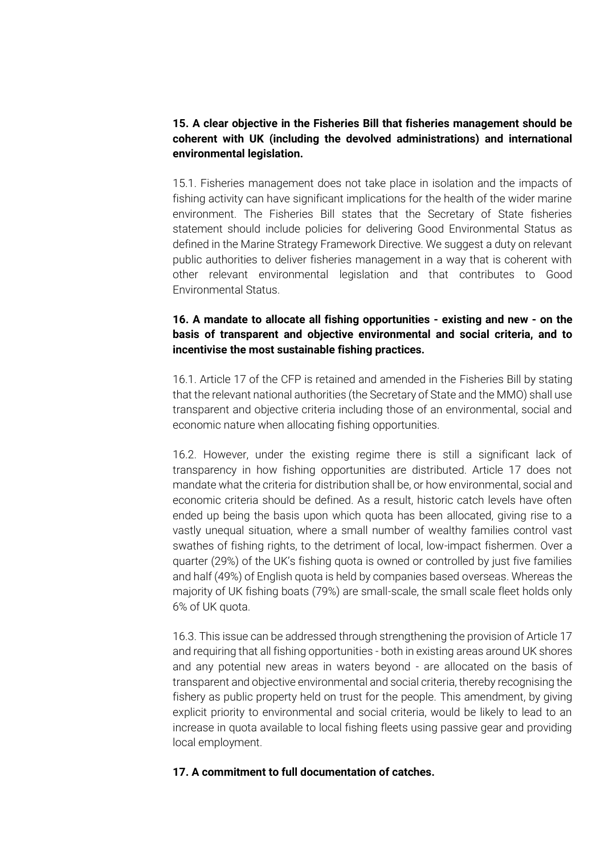#### **15. A clear objective in the Fisheries Bill that fisheries management should be coherent with UK (including the devolved administrations) and international environmental legislation.**

15.1. Fisheries management does not take place in isolation and the impacts of fishing activity can have significant implications for the health of the wider marine environment. The Fisheries Bill states that the Secretary of State fisheries statement should include policies for delivering Good Environmental Status as defined in the Marine Strategy Framework Directive. We suggest a duty on relevant public authorities to deliver fisheries management in a way that is coherent with other relevant environmental legislation and that contributes to Good Environmental Status.

### **16. A mandate to allocate all fishing opportunities - existing and new - on the basis of transparent and objective environmental and social criteria, and to incentivise the most sustainable fishing practices.**

16.1. Article 17 of the CFP is retained and amended in the Fisheries Bill by stating that the relevant national authorities (the Secretary of State and the MMO) shall use transparent and objective criteria including those of an environmental, social and economic nature when allocating fishing opportunities.

16.2. However, under the existing regime there is still a significant lack of transparency in how fishing opportunities are distributed. Article 17 does not mandate what the criteria for distribution shall be, or how environmental, social and economic criteria should be defined. As a result, historic catch levels have often ended up being the basis upon which quota has been allocated, giving rise to a vastly unequal situation, where a small number of wealthy families control vast swathes of fishing rights, to the detriment of local, low-impact fishermen. Over a quarter (29%) of the UK's fishing quota is owned or controlled by just five families and half (49%) of English quota is held by companies based overseas. Whereas the majority of UK fishing boats (79%) are small-scale, the small scale fleet holds only 6% of UK quota.

16.3. This issue can be addressed through strengthening the provision of Article 17 and requiring that all fishing opportunities - both in existing areas around UK shores and any potential new areas in waters beyond - are allocated on the basis of transparent and objective environmental and social criteria, thereby recognising the fishery as public property held on trust for the people. This amendment, by giving explicit priority to environmental and social criteria, would be likely to lead to an increase in quota available to local fishing fleets using passive gear and providing local employment.

#### **17. A commitment to full documentation of catches.**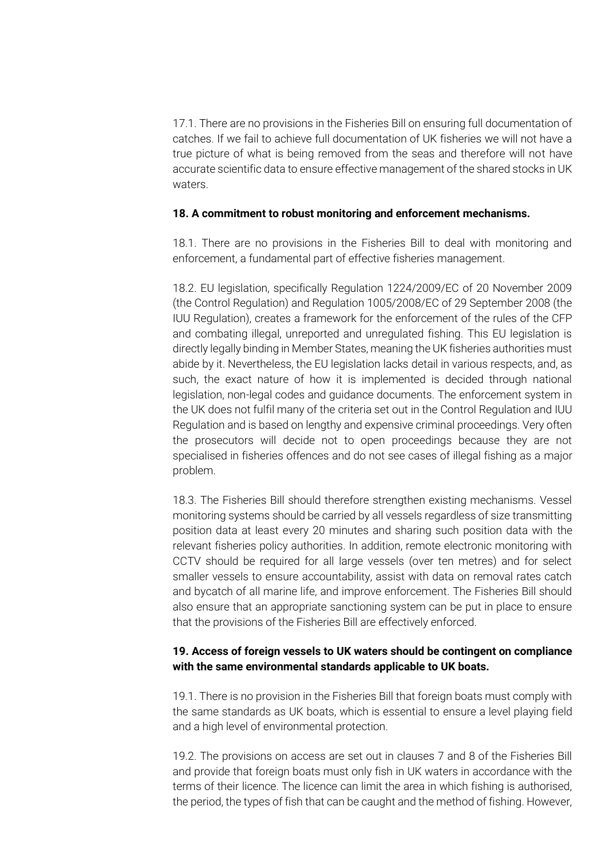17.1. There are no provisions in the Fisheries Bill on ensuring full documentation of catches. If we fail to achieve full documentation of UK fisheries we will not have a true picture of what is being removed from the seas and therefore will not have accurate scientific data to ensure effective management of the shared stocks in UK waters.

#### **18. A commitment to robust monitoring and enforcement mechanisms.**

18.1. There are no provisions in the Fisheries Bill to deal with monitoring and enforcement, a fundamental part of effective fisheries management.

18.2. EU legislation, specifically Regulation 1224/2009/EC of 20 November 2009 (the Control Regulation) and Regulation 1005/2008/EC of 29 September 2008 (the IUU Regulation), creates a framework for the enforcement of the rules of the CFP and combating illegal, unreported and unregulated fishing. This EU legislation is directly legally binding in Member States, meaning the UK fisheries authorities must abide by it. Nevertheless, the EU legislation lacks detail in various respects, and, as such, the exact nature of how it is implemented is decided through national legislation, non-legal codes and guidance documents. The enforcement system in the UK does not fulfil many of the criteria set out in the Control Regulation and IUU Regulation and is based on lengthy and expensive criminal proceedings. Very often the prosecutors will decide not to open proceedings because they are not specialised in fisheries offences and do not see cases of illegal fishing as a major problem.

18.3. The Fisheries Bill should therefore strengthen existing mechanisms. Vessel monitoring systems should be carried by all vessels regardless of size transmitting position data at least every 20 minutes and sharing such position data with the relevant fisheries policy authorities. In addition, remote electronic monitoring with CCTV should be required for all large vessels (over ten metres) and for select smaller vessels to ensure accountability, assist with data on removal rates catch and bycatch of all marine life, and improve enforcement. The Fisheries Bill should also ensure that an appropriate sanctioning system can be put in place to ensure that the provisions of the Fisheries Bill are effectively enforced.

#### **19. Access of foreign vessels to UK waters should be contingent on compliance with the same environmental standards applicable to UK boats.**

19.1. There is no provision in the Fisheries Bill that foreign boats must comply with the same standards as UK boats, which is essential to ensure a level playing field and a high level of environmental protection.

19.2. The provisions on access are set out in clauses 7 and 8 of the Fisheries Bill and provide that foreign boats must only fish in UK waters in accordance with the terms of their licence. The licence can limit the area in which fishing is authorised, the period, the types of fish that can be caught and the method of fishing. However,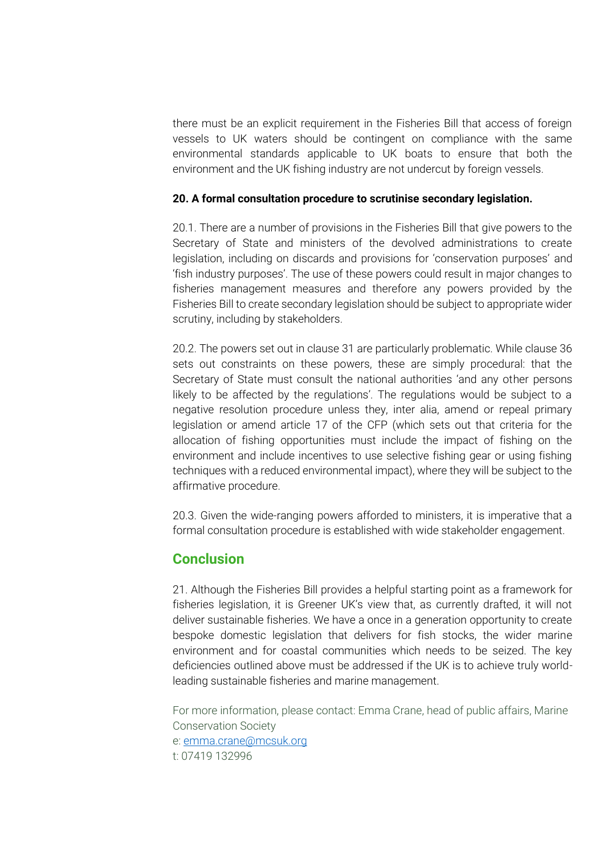there must be an explicit requirement in the Fisheries Bill that access of foreign vessels to UK waters should be contingent on compliance with the same environmental standards applicable to UK boats to ensure that both the environment and the UK fishing industry are not undercut by foreign vessels.

#### **20. A formal consultation procedure to scrutinise secondary legislation.**

20.1. There are a number of provisions in the Fisheries Bill that give powers to the Secretary of State and ministers of the devolved administrations to create legislation, including on discards and provisions for 'conservation purposes' and 'fish industry purposes'. The use of these powers could result in major changes to fisheries management measures and therefore any powers provided by the Fisheries Bill to create secondary legislation should be subject to appropriate wider scrutiny, including by stakeholders.

20.2. The powers set out in clause 31 are particularly problematic. While clause 36 sets out constraints on these powers, these are simply procedural: that the Secretary of State must consult the national authorities 'and any other persons likely to be affected by the regulations'. The regulations would be subject to a negative resolution procedure unless they, inter alia, amend or repeal primary legislation or amend article 17 of the CFP (which sets out that criteria for the allocation of fishing opportunities must include the impact of fishing on the environment and include incentives to use selective fishing gear or using fishing techniques with a reduced environmental impact), where they will be subject to the affirmative procedure.

20.3. Given the wide-ranging powers afforded to ministers, it is imperative that a formal consultation procedure is established with wide stakeholder engagement.

# **Conclusion**

21. Although the Fisheries Bill provides a helpful starting point as a framework for fisheries legislation, it is Greener UK's view that, as currently drafted, it will not deliver sustainable fisheries. We have a once in a generation opportunity to create bespoke domestic legislation that delivers for fish stocks, the wider marine environment and for coastal communities which needs to be seized. The key deficiencies outlined above must be addressed if the UK is to achieve truly worldleading sustainable fisheries and marine management.

For more information, please contact: Emma Crane, head of public affairs, Marine Conservation Society e: [emma.crane@mcsuk.org](mailto:emma.crane@mcsuk.org) t: 07419 132996